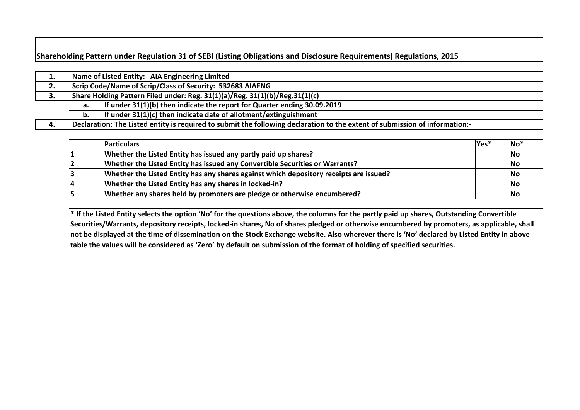## **Shareholding Pattern under Regulation 31 of SEBI (Listing Obligations and Disclosure Requirements) Regulations, 2015**

| л. |    | Name of Listed Entity: AIA Engineering Limited                                                                              |  |  |  |  |  |  |  |  |  |  |  |
|----|----|-----------------------------------------------------------------------------------------------------------------------------|--|--|--|--|--|--|--|--|--|--|--|
| 2. |    | Scrip Code/Name of Scrip/Class of Security: 532683 AIAENG                                                                   |  |  |  |  |  |  |  |  |  |  |  |
| 3. |    | Share Holding Pattern Filed under: Reg. 31(1)(a)/Reg. 31(1)(b)/Reg.31(1)(c)                                                 |  |  |  |  |  |  |  |  |  |  |  |
|    | а. | If under $31(1)(b)$ then indicate the report for Quarter ending 30.09.2019                                                  |  |  |  |  |  |  |  |  |  |  |  |
|    | b. | If under $31(1)(c)$ then indicate date of allotment/extinguishment                                                          |  |  |  |  |  |  |  |  |  |  |  |
| 4. |    | Declaration: The Listed entity is required to submit the following declaration to the extent of submission of information:- |  |  |  |  |  |  |  |  |  |  |  |

| <b>Particulars</b>                                                                     | lYes* | $No*$     |
|----------------------------------------------------------------------------------------|-------|-----------|
| Whether the Listed Entity has issued any partly paid up shares?                        |       | <b>No</b> |
| Whether the Listed Entity has issued any Convertible Securities or Warrants?           |       | <b>No</b> |
| Whether the Listed Entity has any shares against which depository receipts are issued? |       | No        |
| Whether the Listed Entity has any shares in locked-in?                                 |       | <b>No</b> |
| Whether any shares held by promoters are pledge or otherwise encumbered?               |       | <b>No</b> |

**\* If the Listed Entity selects the option 'No' for the questions above, the columns for the partly paid up shares, Outstanding Convertible Securities/Warrants, depository receipts, locked-in shares, No of shares pledged or otherwise encumbered by promoters, as applicable, shall not be displayed at the time of dissemination on the Stock Exchange website. Also wherever there is 'No' declared by Listed Entity in above table the values will be considered as 'Zero' by default on submission of the format of holding of specified securities.**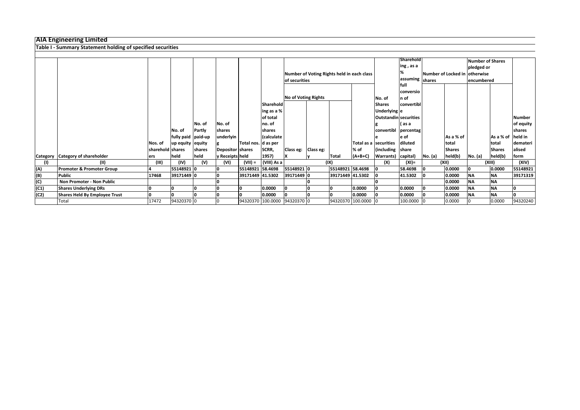## **AIA Engineering Limited**

|      | <b>Table I - Summary Statement holding of specified securities</b> |                  |                     |               |                  |                      |                |                                 |  |                  |                                            |                        |                  |         |               |                               |               |                |
|------|--------------------------------------------------------------------|------------------|---------------------|---------------|------------------|----------------------|----------------|---------------------------------|--|------------------|--------------------------------------------|------------------------|------------------|---------|---------------|-------------------------------|---------------|----------------|
|      |                                                                    |                  |                     |               |                  |                      |                |                                 |  |                  |                                            |                        |                  |         |               |                               |               |                |
|      |                                                                    |                  |                     |               |                  |                      |                |                                 |  |                  |                                            |                        | <b>Sharehold</b> |         |               | <b>Number of Shares</b>       |               |                |
|      |                                                                    |                  |                     |               |                  |                      |                |                                 |  |                  |                                            |                        | ing , as a       |         |               | pledged or                    |               |                |
|      |                                                                    |                  |                     |               |                  |                      |                |                                 |  |                  | Number of Voting Rights held in each class |                        |                  |         |               | Number of Locked in otherwise |               |                |
|      |                                                                    |                  |                     |               |                  |                      |                | of securities                   |  |                  |                                            |                        | assuming shares  |         |               | encumbered                    |               |                |
|      |                                                                    |                  |                     |               |                  |                      |                |                                 |  |                  |                                            |                        | lfull            |         |               |                               |               |                |
|      |                                                                    |                  |                     |               |                  |                      |                |                                 |  |                  |                                            |                        | conversio        |         |               |                               |               |                |
|      |                                                                    |                  |                     |               |                  |                      |                | <b>No of Voting Rights</b>      |  |                  |                                            | No. of                 | $\ln$ of         |         |               |                               |               |                |
|      |                                                                    |                  |                     |               |                  |                      | Sharehold      |                                 |  |                  |                                            | <b>Shares</b>          | convertibl       |         |               |                               |               |                |
|      |                                                                    |                  |                     |               |                  |                      | ing as a %     |                                 |  |                  |                                            | Underlying e           |                  |         |               |                               |               |                |
|      |                                                                    |                  |                     |               |                  |                      | of total       |                                 |  |                  |                                            | Outstandin securities  |                  |         |               |                               |               | <b>Number</b>  |
|      |                                                                    |                  |                     | INo. of       | No. of           |                      | no. of         |                                 |  |                  |                                            |                        | ( as a           |         |               |                               |               | of equity      |
|      |                                                                    |                  | No. of              | <b>Partly</b> | shares           |                      | shares         |                                 |  |                  |                                            | convertibl             | percentag        |         |               |                               |               | <b>Ishares</b> |
|      |                                                                    |                  | fully paid  paid-up |               | underlyin        |                      | (calculate     |                                 |  |                  |                                            |                        | e of             |         | As a % of     |                               | As a % of     | held in        |
|      |                                                                    | Nos. of          | up equity  equity   |               |                  | Total nos.  d as per |                |                                 |  |                  |                                            | Total as a Ssecurities | diluted          |         | Itotal        |                               | total         | demateri       |
|      |                                                                    | sharehold shares |                     | shares        | Depositor shares |                      | SCRR,          | Class eg: Class eg:             |  |                  | % of                                       | (including share       |                  |         | <b>Shares</b> |                               | <b>Shares</b> | alised         |
|      | Category Category of shareholder                                   | lers             | held                | held          | y Receipts held  |                      | $ 1957\rangle$ |                                 |  | <b>Total</b>     | $(A+B+C)$                                  | Warrants) capital)     |                  | No. (a) | held(b)       | No. (a)                       | held(b)       | form           |
| (1)  | (11)                                                               | (III)            | (IV)                | (V)           | (VI)             | $(VII) =$            | (VIII) As a    |                                 |  | (IX)             |                                            | (X)                    | $(XI) =$         |         | (XII)         |                               | (XIII)        | (XIV)          |
| (A)  | <b>Promoter &amp; Promoter Group</b>                               |                  | 55148921 0          |               |                  | 55148921 58.4698     |                | 55148921 0                      |  | 55148921 58.4698 |                                            |                        | 58.4698          |         | 0.0000        |                               | 0.0000        | 55148921       |
| (B)  | <b>Public</b>                                                      | 17468            | 39171449 0          |               |                  | 39171449 41.5302     |                | 39171449 0                      |  | 39171449 41.5302 |                                            |                        | 41.5302          |         | 0.0000        | <b>NA</b>                     | <b>NA</b>     | 39171319       |
| (C)  | Non Promoter - Non Public                                          |                  |                     |               |                  |                      |                |                                 |  |                  |                                            |                        |                  |         | 0.0000        | <b>NA</b>                     | <b>NA</b>     |                |
| (C1) | <b>Shares Underlying DRs</b>                                       |                  |                     |               |                  |                      | 0.0000         |                                 |  |                  | 0.0000                                     |                        | 0.0000           |         | 0.0000        | <b>NA</b>                     | <b>NA</b>     | I٥             |
| (C2) | Shares Held By Employee Trust                                      |                  |                     |               |                  |                      | 0.0000         |                                 |  |                  | 0.0000                                     |                        | 0.0000           |         | 0.0000        | <b>NA</b>                     | <b>NA</b>     | I۵             |
|      | Total                                                              | 17472            | 94320370 0          |               |                  |                      |                | 94320370  100.0000  94320370  0 |  |                  | 94320370 100.0000 0                        |                        | 100.0000         |         | 0.0000        |                               | 0.0000        | 94320240       |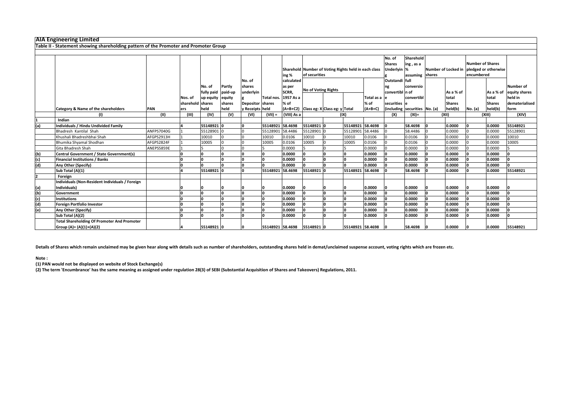|  | <b>AIA Engineering Limited</b> |                                                                       |  |  |
|--|--------------------------------|-----------------------------------------------------------------------|--|--|
|  |                                | Table II - Statement showing shareholding pattern of the Promoter and |  |  |
|  |                                |                                                                       |  |  |
|  |                                |                                                                       |  |  |

|                | <b>AIA Engineering Limited</b>                                                       |            |                  |                    |              |                  |                  |             |                                                      |                  |            |                  |                                               |  |               |                         |               |                  |
|----------------|--------------------------------------------------------------------------------------|------------|------------------|--------------------|--------------|------------------|------------------|-------------|------------------------------------------------------|------------------|------------|------------------|-----------------------------------------------|--|---------------|-------------------------|---------------|------------------|
|                | Table II - Statement showing shareholding pattern of the Promoter and Promoter Group |            |                  |                    |              |                  |                  |             |                                                      |                  |            |                  |                                               |  |               |                         |               |                  |
|                |                                                                                      |            |                  |                    |              |                  |                  |             |                                                      |                  |            |                  |                                               |  |               |                         |               |                  |
|                |                                                                                      |            |                  |                    |              |                  |                  |             |                                                      |                  |            | No. of           | Sharehold                                     |  |               |                         |               |                  |
|                |                                                                                      |            |                  |                    |              |                  |                  |             |                                                      |                  |            | <b>Shares</b>    | ing, as a                                     |  |               | <b>Number of Shares</b> |               |                  |
|                |                                                                                      |            |                  |                    |              |                  |                  |             | Sharehold Number of Voting Rights held in each class |                  |            | <b>Underlyin</b> | Number of Locked in pledged or otherwise<br>% |  |               |                         |               |                  |
|                |                                                                                      |            |                  |                    |              |                  |                  | ing %       | of securities                                        |                  |            |                  | assuming shares                               |  |               | encumbered              |               |                  |
|                |                                                                                      |            |                  |                    |              | No. of           |                  | calculated  |                                                      |                  |            | Outstandi full   |                                               |  |               |                         |               |                  |
|                |                                                                                      |            |                  | No. of             | Partly       | shares           |                  | as per      |                                                      |                  |            |                  | conversio                                     |  |               |                         |               | <b>Number of</b> |
|                |                                                                                      |            |                  | fully paid paid-up |              | underlyin        |                  | SCRR,       | <b>No of Voting Rights</b>                           |                  |            | convertibl n of  |                                               |  | As a % of     |                         | As a % of     | equity shares    |
|                |                                                                                      |            | Nos. of          | up equity equity   |              |                  | Total nos.       | 1957 As a   |                                                      |                  | Total as a |                  | convertibl                                    |  | total         |                         | total         | held in          |
|                |                                                                                      |            | sharehold shares |                    | shares       | Depositor shares |                  | % of        |                                                      |                  | % of       | securities       |                                               |  | <b>Shares</b> |                         | <b>Shares</b> | dematerialised   |
|                | <b>Category &amp; Name of the shareholders</b>                                       | <b>PAN</b> | ers              | held               | held         | y Receipts held  |                  |             | $(A+B+C2)$ Class eg: X Class eg: y Total             |                  | $(A+B+C)$  |                  | (including securities No. (a)                 |  | held(b)       | No. (a)                 | held(b)       | form             |
|                |                                                                                      | (11)       | (III)            | (IV)               | (V)          | (VI)             | $(VII) =$        | (VIII) As a |                                                      | (IX)             |            | (X)              | $(XI) =$                                      |  | (XII)         |                         | (XIII)        | (XIV)            |
|                | Indian                                                                               |            |                  |                    |              |                  |                  |             |                                                      |                  |            |                  |                                               |  |               |                         |               |                  |
| (a)            | <b>Individuals / Hindu Undivided Family</b>                                          |            |                  | 55148921 0         |              | n.               | 55148921 58.4698 |             | 55148921 0                                           | 55148921 58.4698 |            |                  | 58.4698                                       |  | 0.0000        |                         | 0.0000        | 55148921         |
|                | Bhadresh Kantilal Shah                                                               | ANFPS7040G |                  | 55128901 0         |              |                  | 55128901         | 58.4486     | 55128901                                             | 55128901         | 58.4486    |                  | 58.4486                                       |  | 0.0000        |                         | 0.0000        | 55128901         |
|                | Khushali Bhadreshbhai Shah                                                           | AFGPS2913H |                  | 10010              |              |                  | 10010            | 0.0106      | 10010                                                | 10010            | 0.0106     |                  | 0.0106                                        |  | 0.0000        |                         | 0.0000        | 10010            |
|                | Bhumika Shyamal Shodhan                                                              | AFGPS2824F |                  | 10005              |              |                  | 10005            | 0.0106      | 10005                                                | 10005            | 0.0106     |                  | 0.0106                                        |  | 0.0000        |                         | 0.0000        | 10005            |
|                | Gita Bhadresh Shah                                                                   | ANEPS5859E |                  |                    |              |                  |                  | 0.0000      |                                                      |                  | 0.0000     |                  | 0.0000                                        |  | 0.0000        |                         | 0.0000        |                  |
| (b)            | Central Government / State Government(s)                                             |            |                  |                    |              |                  | I٥               | 0.0000      |                                                      |                  | 0.0000     |                  | 0.0000                                        |  | 0.0000        |                         | 0.0000        |                  |
| (c)            | <b>Financial Institutions / Banks</b>                                                |            |                  |                    |              |                  | I٥               | 0.0000      |                                                      |                  | 0.0000     |                  | 0.0000                                        |  | 0.0000        |                         | 0.0000        | I٥               |
| (d)            | Any Other (Specify)                                                                  |            |                  |                    |              |                  | l٥               | 0.0000      |                                                      |                  | 0.0000     |                  | 0.0000                                        |  | 0.0000        |                         | 0.0000        |                  |
|                | Sub Total (A)(1)                                                                     |            |                  | 55148921 0         |              |                  | 55148921 58.4698 |             | 55148921                                             | 55148921 58.4698 |            |                  | 58.4698                                       |  | 0.0000        |                         | 0.0000        | 55148921         |
| $\overline{2}$ | Foreign                                                                              |            |                  |                    |              |                  |                  |             |                                                      |                  |            |                  |                                               |  |               |                         |               |                  |
|                | Individuals (Non-Resident Individuals / Foreign                                      |            |                  |                    |              |                  |                  |             |                                                      |                  |            |                  |                                               |  |               |                         |               |                  |
| (a)            | Individuals)                                                                         |            |                  |                    |              |                  |                  | 0.0000      |                                                      |                  | 0.0000     |                  | 0.0000                                        |  | 0.0000        |                         | 0.0000        |                  |
| (b)            | Government                                                                           |            |                  |                    |              | n                | I∩               | 0.0000      |                                                      |                  | 0.0000     |                  | 0.0000                                        |  | 0.0000        |                         | 0.0000        |                  |
| (c)            | <b>Institutions</b>                                                                  |            |                  |                    | <sup>n</sup> |                  |                  | 0.0000      |                                                      |                  | 0.0000     |                  | 0.0000                                        |  | 0.0000        |                         | 0.0000        |                  |
| (d)            | Foreign Portfolio Investor                                                           |            |                  |                    |              |                  |                  | 0.0000      |                                                      |                  | 0.0000     |                  | 0.0000                                        |  | 0.0000        |                         | 0.0000        |                  |
| (e)            | <b>Any Other (Specify)</b>                                                           |            |                  |                    |              |                  | I۵               | 0.0000      |                                                      |                  | 0.0000     |                  | 0.0000                                        |  | 0.0000        |                         | 0.0000        |                  |
|                | Sub Total (A)(2)                                                                     |            |                  |                    |              |                  |                  | 0.0000      |                                                      |                  | 0.0000     |                  | 0.0000                                        |  | 0.0000        |                         | 0.0000        |                  |
|                | <b>Total Shareholding Of Promoter And Promoter</b>                                   |            |                  |                    |              |                  |                  |             |                                                      |                  |            |                  |                                               |  |               |                         |               |                  |
|                | Group (A)= (A)(1)+(A)(2)                                                             |            |                  | 55148921 0         |              |                  | 55148921 58.4698 |             | 55148921 0                                           | 55148921 58.4698 |            |                  | 58.4698                                       |  | 0.0000        |                         | 0.0000        | 55148921         |

**(1) PAN would not be displayed on website of Stock Exchange(s)** 

**(2) The term 'Encumbrance' has the same meaning as assigned under regulation 28(3) of SEBI (Substantial Acquisition of Shares and Takeovers) Regulations, 2011.**

## **Note :**

**Details of Shares which remain unclaimed may be given hear along with details such as number of shareholders, outstanding shares held in demat/unclaimed suspense account, voting rights which are frozen etc.**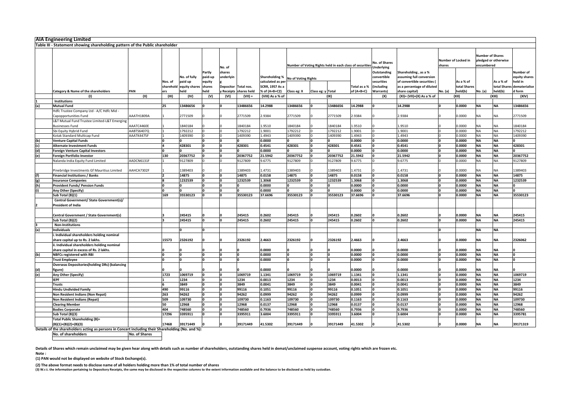|                           | <b>AIA Engineering Limited</b>                                                                     |            |         |                                                     |                          |                        |                          |                                             |             |                   |          |                                                          |                                                  |                                                           |                                      |                           |                                       |                      |                                       |
|---------------------------|----------------------------------------------------------------------------------------------------|------------|---------|-----------------------------------------------------|--------------------------|------------------------|--------------------------|---------------------------------------------|-------------|-------------------|----------|----------------------------------------------------------|--------------------------------------------------|-----------------------------------------------------------|--------------------------------------|---------------------------|---------------------------------------|----------------------|---------------------------------------|
|                           | Table III - Statement showing shareholding pattern of the Public shareholder                       |            |         |                                                     |                          |                        |                          |                                             |             |                   |          |                                                          |                                                  |                                                           |                                      |                           |                                       |                      |                                       |
|                           |                                                                                                    |            |         |                                                     |                          | No. of                 |                          |                                             |             |                   |          | Number of Voting Rights held in each class of securities | <b>No. of Shares</b><br><b>Underlying</b>        |                                                           | <b>Number of Locked in</b><br>shares |                           | <b>Number of Shares</b><br>encumbered | pledged or otherwise |                                       |
|                           |                                                                                                    |            |         | No. of fully                                        | <b>Partly</b><br>paid-up | shares<br>underlyin    |                          | Shareholding %   No of Voting Rights        |             |                   |          |                                                          | Outstanding<br>convertible<br><b>Isecurities</b> | Shareholding, as a %<br>assuming full conversion          |                                      |                           |                                       |                      | Number of<br>equity shares            |
|                           |                                                                                                    |            | Nos. of | paid up<br>equity<br>sharehold equity shares shares |                          | Depositor   Total nos. |                          | calculated as per<br><b>SCRR, 1957 As a</b> |             |                   |          | (including<br>Total as a %                               |                                                  | of convertible securities (<br>as a percentage of diluted |                                      | As a % of<br>total Shares |                                       | As a % of            | held in<br>total Shares dematerialise |
|                           | <b>Category &amp; Name of the shareholders</b>                                                     | <b>PAN</b> | ers     | held                                                | held                     |                        | y Receipts   shares held | % of (A+B+C2)                               | Class eg: X | Class eg: y Total |          | $of (A+B+C)$                                             | <b>Warrants</b> )                                | share capital)                                            | No. (a)                              | held(b)                   | No. (a)                               | held(b)              | d form                                |
|                           | (1)                                                                                                | (II)       | (III)   | (IV)                                                | (V)                      | (VI)                   | $(VII) =$                | (VIII) As a % of                            |             |                   | (IX)     |                                                          | (X)                                              | (XI)= (VII)+(X) As a % of                                 |                                      | (XII)                     |                                       | (XIII)               | (XIV)                                 |
|                           | <b>Institutions</b>                                                                                |            |         |                                                     |                          |                        |                          |                                             |             |                   |          |                                                          |                                                  |                                                           |                                      |                           |                                       |                      |                                       |
| (a)                       | <b>Mutual Fund</b>                                                                                 |            | 25      | 13486656                                            |                          |                        | 13486656                 | 14.2988                                     | 13486656    |                   | 13486656 | 14.2988                                                  |                                                  | 14.2988                                                   |                                      | 0.0000                    | <b>NA</b>                             | <b>NA</b>            | 13486656                              |
|                           | Hdfc Trustee Company Ltd - A/C Hdfc Mid -                                                          |            |         |                                                     |                          |                        |                          |                                             |             |                   |          |                                                          |                                                  |                                                           |                                      |                           |                                       |                      |                                       |
|                           | Capopportunities Fund                                                                              | AAATH1809A |         | 2771509                                             |                          |                        | 2771509                  | 2.9384                                      | 2771509     |                   | 2771509  | 2.9384                                                   |                                                  | 2.9384                                                    |                                      | 0.0000                    | <b>NA</b>                             | NA                   | 2771509                               |
|                           | L&T Mutual Fund Trustee Limited-L&T Emerging                                                       |            |         |                                                     |                          |                        |                          |                                             |             |                   |          |                                                          |                                                  |                                                           |                                      |                           |                                       |                      |                                       |
|                           | <b>Businesses Fund</b>                                                                             | AAATC4460E |         | 1840184                                             |                          |                        | 1840184                  | 1.9510                                      | 1840184     |                   | 1840184  | 1.9510                                                   |                                                  | 1.9510                                                    |                                      | 0.0000                    | <b>NA</b>                             | NA.                  | 1840184                               |
|                           | Sbi Equity Hybrid Fund                                                                             | AABTS6407Q |         | 1792212                                             |                          |                        | 1792212                  | 1.9001                                      | 1792212     |                   | 1792212  | 1.9001                                                   |                                                  | 1.9001                                                    |                                      | 0.0000                    | <b>NA</b>                             | <b>NA</b>            | 1792212                               |
|                           | Kotak Standard Multicap Fund                                                                       | AAATK4475F |         | 1409390                                             |                          |                        | 1409390                  | 1.4943                                      | 1409390     |                   | 1409390  | 1.4943                                                   |                                                  | 1.4943                                                    |                                      | 0.0000                    | <b>NA</b>                             | NA                   | 1409390                               |
| (b)                       | <b>Venture Capital Funds</b>                                                                       |            |         |                                                     |                          |                        |                          | 0.0000                                      |             |                   |          | 0.0000                                                   |                                                  | 0.0000                                                    |                                      | 0.0000                    | <b>NA</b>                             | <b>NA</b>            |                                       |
| (c)                       | <b>Alternate Investment Funds</b>                                                                  |            |         | 428301                                              |                          |                        | 428301                   | 0.4541                                      | 428301      |                   | 428301   | 0.4541                                                   |                                                  | 0.4541                                                    |                                      | 0.0000                    | <b>NA</b>                             | <b>NA</b>            | 428301                                |
| (d)                       | <b>Foreign Venture Capital Investors</b>                                                           |            |         |                                                     |                          |                        |                          | 0.0000                                      |             |                   |          | 0.0000                                                   |                                                  | 0.0000                                                    |                                      | 0.0000                    | <b>NA</b>                             | <b>NA</b>            |                                       |
| (e)                       | Foreign Portfolio Investor                                                                         |            | 130     | 20367752                                            |                          |                        | 20367752                 | 21.5942                                     | 20367752    |                   | 20367752 | 21.5942                                                  |                                                  | 21.5942                                                   |                                      | 0.0000                    | <b>NA</b>                             | <b>NA</b>            | 20367752                              |
|                           | Nalanda India Equity Fund Limited                                                                  | AADCN6131F |         | 9127809                                             |                          |                        | 9127809                  | 9.6775                                      | 9127809     |                   | 9127809  | 9.6775                                                   |                                                  | 9.6775                                                    |                                      | 0.0000                    | <b>NA</b>                             | <b>NA</b>            | 9127809                               |
|                           | Pinebridge Investments Gf Mauritius Limited                                                        | AAHCA7302F |         | 1389403                                             |                          |                        | 1389403                  | 1.4731                                      | 1389403     |                   | 1389403  | 1.4731                                                   |                                                  | 1.4731                                                    |                                      | 0.0000                    | <b>NA</b>                             | <b>NA</b>            | 1389403                               |
| (f)                       | <b>Financial Institutions / Banks</b>                                                              |            |         | 14875                                               |                          |                        | 14875                    | 0.0158                                      | 14875       |                   | 14875    | 0.0158                                                   |                                                  | 0.0158                                                    |                                      | 0.0000                    | <b>NA</b>                             | <b>NA</b>            | 14875                                 |
| (g)                       | <b>Insurance Companies</b>                                                                         |            |         | 1232539                                             |                          |                        | 1232539                  | 1.3068                                      | 1232539     |                   | 1232539  | 1.3068                                                   |                                                  | 1.3068                                                    |                                      | 0.0000                    | <b>NA</b>                             | <b>NA</b>            | 1232539                               |
| (h)                       | <b>Provident Funds/ Pension Funds</b>                                                              |            |         |                                                     |                          |                        |                          | 0.0000                                      |             |                   |          | 0.0000                                                   |                                                  | 0.0000                                                    |                                      | 0.0000                    | <b>NA</b>                             | <b>NA</b>            |                                       |
| $\overline{(\mathsf{i})}$ | Any Other (Specify)                                                                                |            |         |                                                     |                          |                        |                          | 0.0000                                      |             |                   |          | 0.0000                                                   |                                                  | 0.0000                                                    |                                      | 0.0000                    | <b>NA</b>                             | <b>NIA</b><br>IVA    |                                       |
|                           | Sub Total (B)(1)                                                                                   |            | 169     | 35530123                                            |                          |                        | 35530123                 | 37.6696                                     | 35530123    |                   | 35530123 | 37.6696                                                  |                                                  | 37.6696                                                   |                                      | 0.0000                    | <b>NA</b>                             | <b>NA</b>            | 35530123                              |
|                           | Central Government/ State Government(s)/                                                           |            |         |                                                     |                          |                        |                          |                                             |             |                   |          |                                                          |                                                  |                                                           |                                      |                           |                                       |                      |                                       |
|                           | <b>President of India</b>                                                                          |            |         |                                                     |                          |                        |                          |                                             |             |                   |          |                                                          |                                                  |                                                           |                                      |                           |                                       |                      |                                       |
|                           |                                                                                                    |            |         |                                                     |                          |                        |                          |                                             |             |                   |          |                                                          |                                                  |                                                           |                                      |                           |                                       |                      |                                       |
|                           | Central Government / State Government(s)                                                           |            |         | 245415                                              |                          |                        | 245415                   | 0.2602                                      | 245415      |                   | 245415   | 0.2602                                                   |                                                  | 0.2602                                                    |                                      | 0.0000                    | <b>NA</b>                             | <b>NA</b>            | 245415                                |
|                           | Sub Total (B)(2)                                                                                   |            |         | 245415                                              |                          |                        | 245415                   | 0.2602                                      | 245415      |                   | 245415   | 0.2602                                                   |                                                  | 0.2602                                                    |                                      | 0.0000                    | <b>NA</b>                             | <b>NA</b>            | 245415                                |
|                           | <b>Non-Institutions</b>                                                                            |            |         |                                                     |                          |                        |                          |                                             |             |                   |          |                                                          |                                                  |                                                           |                                      |                           |                                       |                      |                                       |
| (a)                       | <b>Individuals</b>                                                                                 |            |         |                                                     |                          |                        |                          |                                             |             |                   |          |                                                          |                                                  |                                                           |                                      |                           | <b>NA</b>                             | <b>NA</b>            |                                       |
|                           | . Individual shareholders holding nominal                                                          |            |         |                                                     |                          |                        |                          |                                             |             |                   |          |                                                          |                                                  |                                                           |                                      |                           |                                       |                      |                                       |
|                           | share capital up to Rs. 2 lakhs.                                                                   |            | 15573   | 2326192                                             |                          |                        | 2326192                  | 2.4663                                      | 2326192     |                   | 2326192  | 2.4663                                                   |                                                  | 2.4663                                                    |                                      | 0.0000                    | <b>NA</b>                             | <b>NA</b>            | 2326062                               |
|                           | ii. Individual shareholders holding nominal                                                        |            |         |                                                     |                          |                        |                          |                                             |             |                   |          |                                                          |                                                  |                                                           |                                      |                           |                                       |                      |                                       |
|                           | share capital in excess of Rs. 2 lakhs.                                                            |            |         |                                                     |                          |                        |                          | 0.0000                                      |             |                   |          | 0.0000                                                   |                                                  | 0.0000                                                    |                                      | 0.0000                    | <b>NA</b>                             | <b>NA</b>            |                                       |
| (b)                       | <b>NBFCs registered with RBI</b>                                                                   |            |         |                                                     |                          |                        |                          | 0.0000                                      |             |                   |          | 0.0000                                                   |                                                  | 0.0000                                                    |                                      | 0.0000                    | <b>NA</b>                             | <b>NA</b>            |                                       |
|                           | <b>Trust Employee</b>                                                                              |            |         |                                                     |                          |                        |                          | 0.0000                                      |             |                   |          | 0.0000                                                   |                                                  | 0.0000                                                    |                                      | 0.0000                    | <b>NA</b>                             | <b>NA</b>            |                                       |
|                           | <b>Overseas Depositories (holding DRs) (balancing</b>                                              |            |         |                                                     |                          |                        |                          |                                             |             |                   |          |                                                          |                                                  |                                                           |                                      |                           |                                       |                      |                                       |
| (d)                       | figure)                                                                                            |            |         |                                                     |                          |                        |                          | 0.0000                                      |             |                   |          | 0.0000                                                   |                                                  | 0.0000                                                    |                                      | 0.0000                    | <b>NA</b>                             | <b>NA</b>            |                                       |
| (e)                       | Any Other (Specify)                                                                                |            | 1723    | 1069719                                             |                          |                        | 1069719                  | 1.1341                                      | 1069719     |                   | 1069719  | 1.1341                                                   |                                                  | 1.1341                                                    |                                      | 0.0000                    | <b>NA</b>                             | <b>NA</b>            | 1069719                               |
|                           | <b>IEPF</b>                                                                                        |            |         | 1234                                                |                          |                        | 1234                     | 0.0013                                      | 1234        |                   | 1234     | 0.0013                                                   |                                                  | 0.0013                                                    |                                      | 0.0000                    | <b>NA</b>                             | <b>NA</b>            | 1234                                  |
|                           | <b>Trusts</b>                                                                                      |            |         | 3849                                                |                          |                        | 3849                     | 0.0041                                      | 3849        |                   | 3849     | 0.0041                                                   |                                                  | 0.0041                                                    |                                      | 0.0000                    | <b>NA</b>                             | <b>NA</b>            | 3849                                  |
|                           | <b>Hindu Undivided Family</b>                                                                      |            | 490     | 99116                                               |                          |                        | 99116                    | 0.1051                                      | 99116       |                   | 99116    | 0.1051                                                   |                                                  | 0.1051                                                    |                                      | 0.0000                    | <b>NA</b>                             | <b>NA</b>            | 99116                                 |
|                           | Non Resident Indians (Non Repat)                                                                   |            | 263     | 94262                                               |                          |                        | 94262                    | 0.0999                                      | 94262       |                   | 94262    | 0.0999                                                   |                                                  | 0.0999                                                    |                                      | 0.0000                    | <b>NA</b>                             | ΝA                   | 94262                                 |
|                           | Non Resident Indians (Repat)                                                                       |            | 509     | 109730                                              |                          |                        | 109730                   | 0.1163                                      | 109730      |                   | 109730   | 0.1163                                                   |                                                  | 0.1163                                                    |                                      | 0.0000                    | <b>NA</b>                             | <b>NA</b>            | 109730                                |
|                           | <b>Clearing Member</b>                                                                             |            | 50      | 12968                                               |                          |                        | 12968                    | 0.0137                                      | 12968       |                   | 12968    | 0.0137                                                   |                                                  | 0.0137                                                    |                                      | 0.0000                    | <b>NA</b>                             | <b>NA</b>            | 12968                                 |
|                           | <b>Bodies Corporate</b>                                                                            |            | 404     | 748560                                              |                          |                        | 748560                   | 0.7936                                      | 748560      |                   | 748560   | 0.7936                                                   |                                                  | 0.7936                                                    |                                      | 0.0000                    | <b>NA</b>                             | <b>NA</b>            | 748560                                |
|                           | Sub Total (B)(3)                                                                                   |            | 17296   | 3395911                                             |                          |                        | 3395911                  | 3.6004                                      | 3395911     |                   | 3395911  | 3.6004                                                   |                                                  | 3.6004                                                    |                                      | 0.0000                    | <b>NA</b>                             | <b>NA</b>            | 3395781                               |
|                           | Total Public Shareholding (B)=                                                                     |            |         |                                                     |                          |                        |                          |                                             |             |                   |          |                                                          |                                                  |                                                           |                                      |                           |                                       |                      |                                       |
|                           | $ (B)(1)+(B)(2)+(B)(3) $                                                                           |            | 17468   | 39171449                                            |                          |                        | 39171449                 | 41.5302                                     | 39171449    |                   | 39171449 | 41.5302                                                  |                                                  | 41.5302                                                   |                                      | 0.0000                    | <b>NA</b>                             | <b>NA</b>            | 39171319                              |
|                           | Details of the shareholders acting as persons in Concert including their Shareholding (No. and %): |            |         |                                                     |                          |                        |                          |                                             |             |                   |          |                                                          |                                                  |                                                           |                                      |                           |                                       |                      |                                       |

**No. of shareholders No. of Shares** 

**(2) The above format needs to disclose name of all holders holding more than 1% of total number of shares**

**(3) W.r.t. the information pertaining to Depository Receipts, the same may be disclosed in the respective columns to the extent information available and the balance to be disclosed as held by custodian.**

**Details of Shares which remain unclaimed may be given hear along with details such as number of shareholders, outstanding shares held in demat/unclaimed suspense account, voting rights which are frozen etc. Note :**

**(1) PAN would not be displayed on website of Stock Exchange(s).**